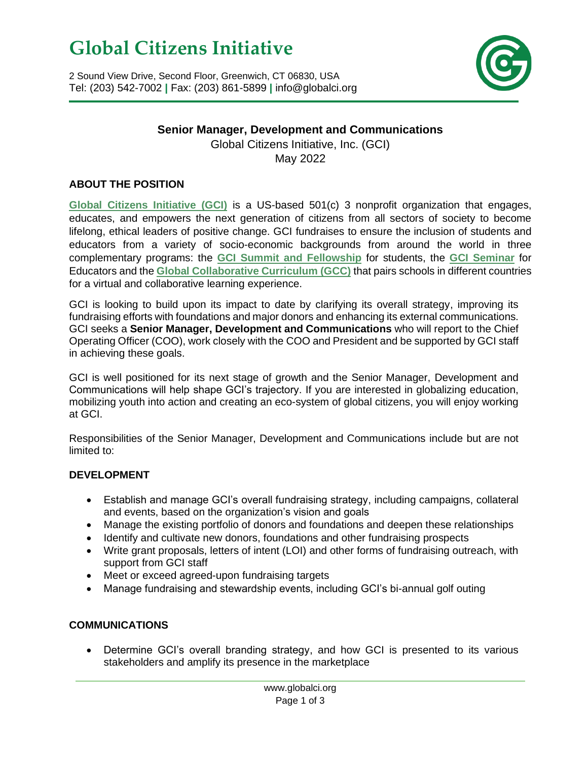# **Global Citizens Initiative**

2 Sound View Drive, Second Floor, Greenwich, CT 06830, USA Tel: (203) 542-7002 **|** Fax: (203) 861-5899 **|** info@globalci.org



# **Senior Manager, Development and Communications**

Global Citizens Initiative, Inc. (GCI) May 2022

#### **ABOUT THE POSITION**

**[Global Citizens Initiative \(GCI\)](http://www.globalci.org/)** is a US-based 501(c) 3 nonprofit organization that engages, educates, and empowers the next generation of citizens from all sectors of society to become lifelong, ethical leaders of positive change. GCI fundraises to ensure the inclusion of students and educators from a variety of socio-economic backgrounds from around the world in three complementary programs: the **[GCI Summit and Fellowship](https://www.globalci.org/fellows)** for students, the **[GCI Seminar](https://www.globalci.org/educators)** for Educators and the **[Global Collaborative Curriculum](https://www.globalci.org/gcc) (GCC)** that pairs schools in different countries for a virtual and collaborative learning experience.

GCI is looking to build upon its impact to date by clarifying its overall strategy, improving its fundraising efforts with foundations and major donors and enhancing its external communications. GCI seeks a **Senior Manager, Development and Communications** who will report to the Chief Operating Officer (COO), work closely with the COO and President and be supported by GCI staff in achieving these goals.

GCI is well positioned for its next stage of growth and the Senior Manager, Development and Communications will help shape GCI's trajectory. If you are interested in globalizing education, mobilizing youth into action and creating an eco-system of global citizens, you will enjoy working at GCI.

Responsibilities of the Senior Manager, Development and Communications include but are not limited to:

#### **DEVELOPMENT**

- Establish and manage GCI's overall fundraising strategy, including campaigns, collateral and events, based on the organization's vision and goals
- Manage the existing portfolio of donors and foundations and deepen these relationships
- Identify and cultivate new donors, foundations and other fundraising prospects
- Write grant proposals, letters of intent (LOI) and other forms of fundraising outreach, with support from GCI staff
- Meet or exceed agreed-upon fundraising targets
- Manage fundraising and stewardship events, including GCI's bi-annual golf outing

#### **COMMUNICATIONS**

• Determine GCI's overall branding strategy, and how GCI is presented to its various stakeholders and amplify its presence in the marketplace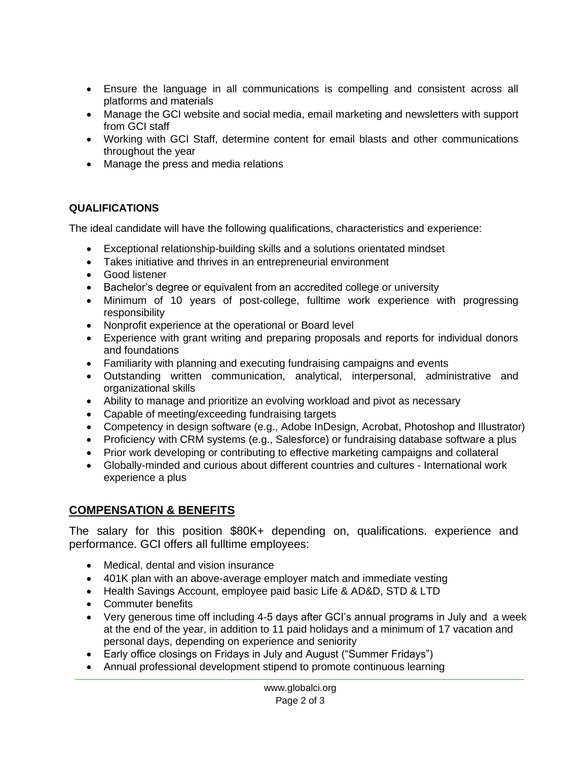- Ensure the language in all communications is compelling and consistent across all platforms and materials
- Manage the GCI website and social media, email marketing and newsletters with support from GCI staff
- Working with GCI Staff, determine content for email blasts and other communications throughout the year
- Manage the press and media relations

#### **QUALIFICATIONS**

The ideal candidate will have the following qualifications, characteristics and experience:

- Exceptional relationship-building skills and a solutions orientated mindset
- Takes initiative and thrives in an entrepreneurial environment
- Good listener
- Bachelor's degree or equivalent from an accredited college or university
- Minimum of 10 years of post-college, fulltime work experience with progressing responsibility
- Nonprofit experience at the operational or Board level
- Experience with grant writing and preparing proposals and reports for individual donors and foundations
- Familiarity with planning and executing fundraising campaigns and events
- Outstanding written communication, analytical, interpersonal, administrative and organizational skills
- Ability to manage and prioritize an evolving workload and pivot as necessary
- Capable of meeting/exceeding fundraising targets
- Competency in design software (e.g., Adobe InDesign, Acrobat, Photoshop and Illustrator)
- Proficiency with CRM systems (e.g., Salesforce) or fundraising database software a plus
- Prior work developing or contributing to effective marketing campaigns and collateral
- Globally-minded and curious about different countries and cultures International work experience a plus

# **COMPENSATION & BENEFITS**

The salary for this position \$80K+ depending on, qualifications. experience and performance. GCI offers all fulltime employees:

- Medical, dental and vision insurance
- 401K plan with an above-average employer match and immediate vesting
- Health Savings Account, employee paid basic Life & AD&D, STD & LTD
- Commuter benefits
- Very generous time off including 4-5 days after GCI's annual programs in July and a week at the end of the year, in addition to 11 paid holidays and a minimum of 17 vacation and personal days, depending on experience and seniority
- Early office closings on Fridays in July and August ("Summer Fridays")
- Annual professional development stipend to promote continuous learning